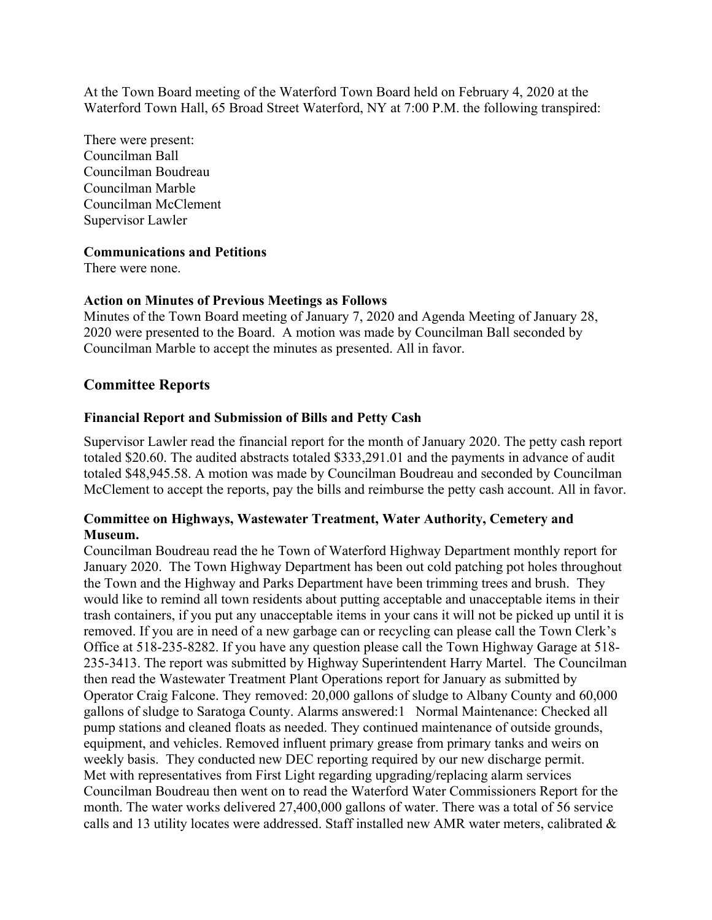At the Town Board meeting of the Waterford Town Board held on February 4, 2020 at the Waterford Town Hall, 65 Broad Street Waterford, NY at 7:00 P.M. the following transpired:

There were present: Councilman Ball Councilman Boudreau Councilman Marble Councilman McClement Supervisor Lawler

### **Communications and Petitions**

There were none.

### **Action on Minutes of Previous Meetings as Follows**

Minutes of the Town Board meeting of January 7, 2020 and Agenda Meeting of January 28, 2020 were presented to the Board. A motion was made by Councilman Ball seconded by Councilman Marble to accept the minutes as presented. All in favor.

# **Committee Reports**

#### **Financial Report and Submission of Bills and Petty Cash**

Supervisor Lawler read the financial report for the month of January 2020. The petty cash report totaled \$20.60. The audited abstracts totaled \$333,291.01 and the payments in advance of audit totaled \$48,945.58. A motion was made by Councilman Boudreau and seconded by Councilman McClement to accept the reports, pay the bills and reimburse the petty cash account. All in favor.

# **Committee on Highways, Wastewater Treatment, Water Authority, Cemetery and Museum.**

Councilman Boudreau read the he Town of Waterford Highway Department monthly report for January 2020. The Town Highway Department has been out cold patching pot holes throughout the Town and the Highway and Parks Department have been trimming trees and brush. They would like to remind all town residents about putting acceptable and unacceptable items in their trash containers, if you put any unacceptable items in your cans it will not be picked up until it is removed. If you are in need of a new garbage can or recycling can please call the Town Clerk's Office at 518-235-8282. If you have any question please call the Town Highway Garage at 518- 235-3413. The report was submitted by Highway Superintendent Harry Martel. The Councilman then read the Wastewater Treatment Plant Operations report for January as submitted by Operator Craig Falcone. They removed: 20,000 gallons of sludge to Albany County and 60,000 gallons of sludge to Saratoga County. Alarms answered:1 Normal Maintenance: Checked all pump stations and cleaned floats as needed. They continued maintenance of outside grounds, equipment, and vehicles. Removed influent primary grease from primary tanks and weirs on weekly basis. They conducted new DEC reporting required by our new discharge permit. Met with representatives from First Light regarding upgrading/replacing alarm services Councilman Boudreau then went on to read the Waterford Water Commissioners Report for the month. The water works delivered 27,400,000 gallons of water. There was a total of 56 service calls and 13 utility locates were addressed. Staff installed new AMR water meters, calibrated &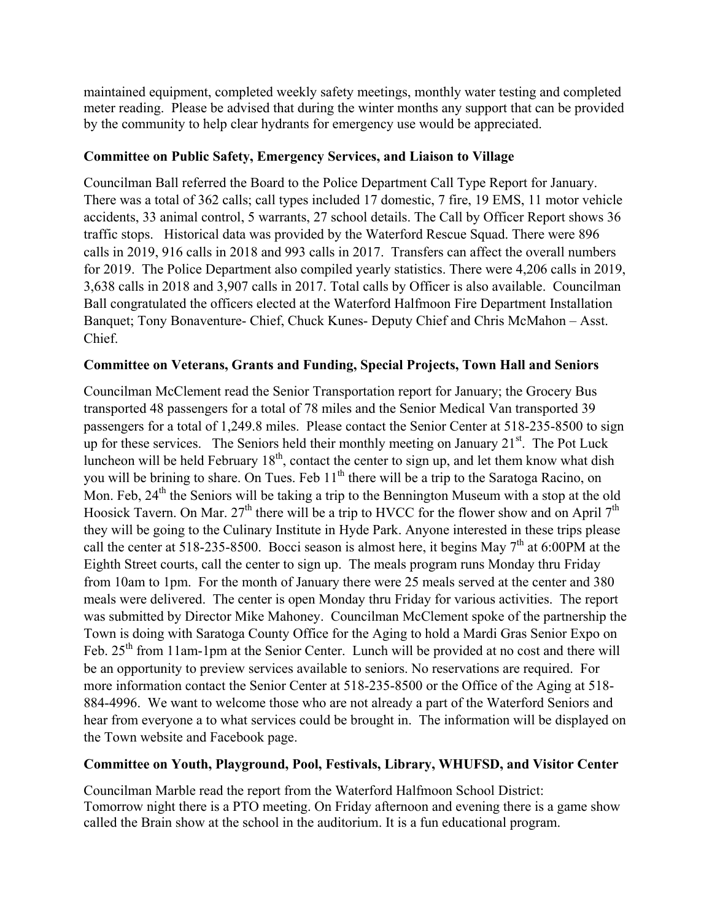maintained equipment, completed weekly safety meetings, monthly water testing and completed meter reading. Please be advised that during the winter months any support that can be provided by the community to help clear hydrants for emergency use would be appreciated.

# **Committee on Public Safety, Emergency Services, and Liaison to Village**

Councilman Ball referred the Board to the Police Department Call Type Report for January. There was a total of 362 calls; call types included 17 domestic, 7 fire, 19 EMS, 11 motor vehicle accidents, 33 animal control, 5 warrants, 27 school details. The Call by Officer Report shows 36 traffic stops. Historical data was provided by the Waterford Rescue Squad. There were 896 calls in 2019, 916 calls in 2018 and 993 calls in 2017. Transfers can affect the overall numbers for 2019. The Police Department also compiled yearly statistics. There were 4,206 calls in 2019, 3,638 calls in 2018 and 3,907 calls in 2017. Total calls by Officer is also available. Councilman Ball congratulated the officers elected at the Waterford Halfmoon Fire Department Installation Banquet; Tony Bonaventure- Chief, Chuck Kunes- Deputy Chief and Chris McMahon – Asst. Chief.

# **Committee on Veterans, Grants and Funding, Special Projects, Town Hall and Seniors**

Councilman McClement read the Senior Transportation report for January; the Grocery Bus transported 48 passengers for a total of 78 miles and the Senior Medical Van transported 39 passengers for a total of 1,249.8 miles. Please contact the Senior Center at 518-235-8500 to sign up for these services. The Seniors held their monthly meeting on January  $21<sup>st</sup>$ . The Pot Luck luncheon will be held February  $18<sup>th</sup>$ , contact the center to sign up, and let them know what dish you will be brining to share. On Tues. Feb  $11<sup>th</sup>$  there will be a trip to the Saratoga Racino, on Mon. Feb,  $24<sup>th</sup>$  the Seniors will be taking a trip to the Bennington Museum with a stop at the old Hoosick Tavern. On Mar.  $27<sup>th</sup>$  there will be a trip to HVCC for the flower show and on April  $7<sup>th</sup>$ they will be going to the Culinary Institute in Hyde Park. Anyone interested in these trips please call the center at 518-235-8500. Bocci season is almost here, it begins May  $7<sup>th</sup>$  at 6:00PM at the Eighth Street courts, call the center to sign up. The meals program runs Monday thru Friday from 10am to 1pm. For the month of January there were 25 meals served at the center and 380 meals were delivered. The center is open Monday thru Friday for various activities. The report was submitted by Director Mike Mahoney. Councilman McClement spoke of the partnership the Town is doing with Saratoga County Office for the Aging to hold a Mardi Gras Senior Expo on Feb.  $25<sup>th</sup>$  from 11am-1pm at the Senior Center. Lunch will be provided at no cost and there will be an opportunity to preview services available to seniors. No reservations are required. For more information contact the Senior Center at 518-235-8500 or the Office of the Aging at 518- 884-4996. We want to welcome those who are not already a part of the Waterford Seniors and hear from everyone a to what services could be brought in. The information will be displayed on the Town website and Facebook page.

# **Committee on Youth, Playground, Pool, Festivals, Library, WHUFSD, and Visitor Center**

Councilman Marble read the report from the Waterford Halfmoon School District: Tomorrow night there is a PTO meeting. On Friday afternoon and evening there is a game show called the Brain show at the school in the auditorium. It is a fun educational program.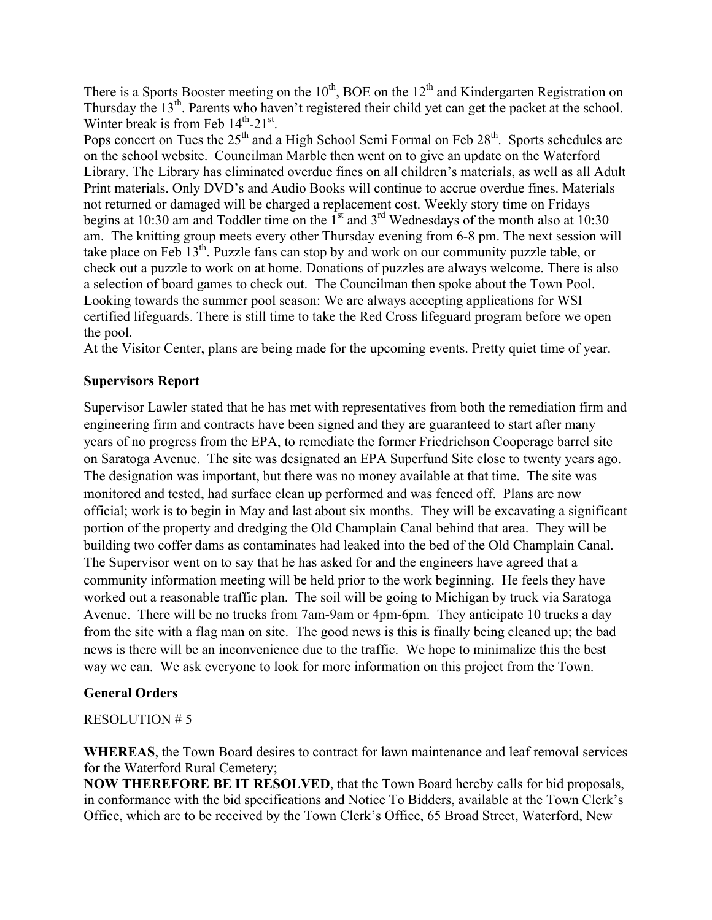There is a Sports Booster meeting on the  $10^{th}$ , BOE on the  $12^{th}$  and Kindergarten Registration on Thursday the 13<sup>th</sup>. Parents who haven't registered their child yet can get the packet at the school. Winter break is from Feb  $14<sup>th</sup> - 21<sup>st</sup>$ .

Pops concert on Tues the  $25<sup>th</sup>$  and a High School Semi Formal on Feb  $28<sup>th</sup>$ . Sports schedules are on the school website. Councilman Marble then went on to give an update on the Waterford Library. The Library has eliminated overdue fines on all children's materials, as well as all Adult Print materials. Only DVD's and Audio Books will continue to accrue overdue fines. Materials not returned or damaged will be charged a replacement cost. Weekly story time on Fridays begins at 10:30 am and Toddler time on the  $1<sup>st</sup>$  and  $3<sup>rd</sup>$  Wednesdays of the month also at 10:30 am. The knitting group meets every other Thursday evening from 6-8 pm. The next session will take place on Feb 13th. Puzzle fans can stop by and work on our community puzzle table, or check out a puzzle to work on at home. Donations of puzzles are always welcome. There is also a selection of board games to check out. The Councilman then spoke about the Town Pool. Looking towards the summer pool season: We are always accepting applications for WSI certified lifeguards. There is still time to take the Red Cross lifeguard program before we open the pool.

At the Visitor Center, plans are being made for the upcoming events. Pretty quiet time of year.

# **Supervisors Report**

Supervisor Lawler stated that he has met with representatives from both the remediation firm and engineering firm and contracts have been signed and they are guaranteed to start after many years of no progress from the EPA, to remediate the former Friedrichson Cooperage barrel site on Saratoga Avenue. The site was designated an EPA Superfund Site close to twenty years ago. The designation was important, but there was no money available at that time. The site was monitored and tested, had surface clean up performed and was fenced off. Plans are now official; work is to begin in May and last about six months. They will be excavating a significant portion of the property and dredging the Old Champlain Canal behind that area. They will be building two coffer dams as contaminates had leaked into the bed of the Old Champlain Canal. The Supervisor went on to say that he has asked for and the engineers have agreed that a community information meeting will be held prior to the work beginning. He feels they have worked out a reasonable traffic plan. The soil will be going to Michigan by truck via Saratoga Avenue. There will be no trucks from 7am-9am or 4pm-6pm. They anticipate 10 trucks a day from the site with a flag man on site. The good news is this is finally being cleaned up; the bad news is there will be an inconvenience due to the traffic. We hope to minimalize this the best way we can. We ask everyone to look for more information on this project from the Town.

### **General Orders**

### RESOLUTION # 5

**WHEREAS**, the Town Board desires to contract for lawn maintenance and leaf removal services for the Waterford Rural Cemetery;

**NOW THEREFORE BE IT RESOLVED**, that the Town Board hereby calls for bid proposals, in conformance with the bid specifications and Notice To Bidders, available at the Town Clerk's Office, which are to be received by the Town Clerk's Office, 65 Broad Street, Waterford, New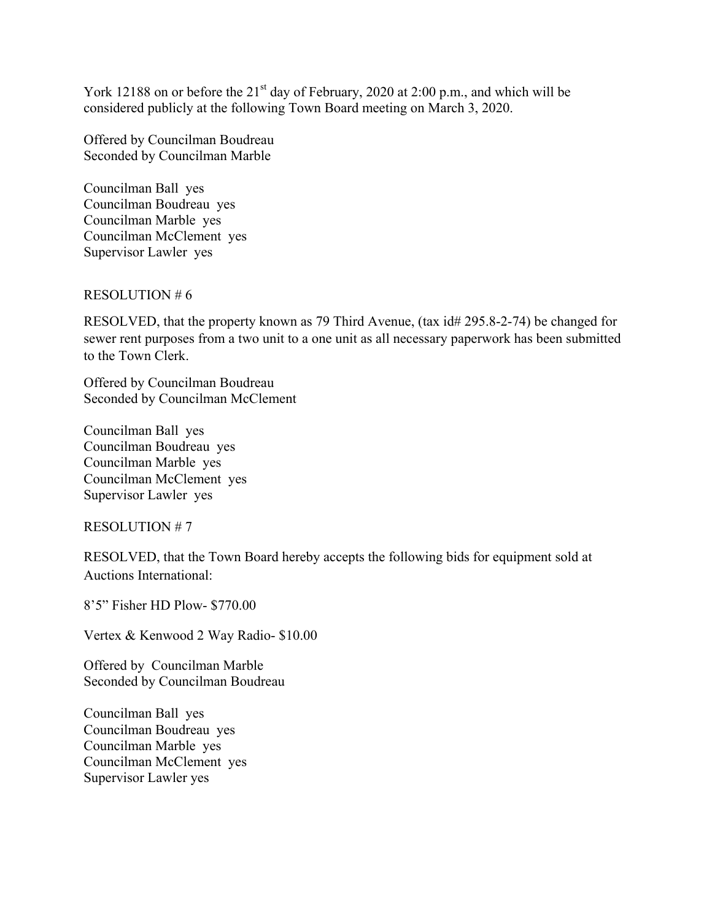York 12188 on or before the  $21<sup>st</sup>$  day of February, 2020 at 2:00 p.m., and which will be considered publicly at the following Town Board meeting on March 3, 2020.

Offered by Councilman Boudreau Seconded by Councilman Marble

Councilman Ball yes Councilman Boudreau yes Councilman Marble yes Councilman McClement yes Supervisor Lawler yes

#### RESOLUTION # 6

RESOLVED, that the property known as 79 Third Avenue, (tax id# 295.8-2-74) be changed for sewer rent purposes from a two unit to a one unit as all necessary paperwork has been submitted to the Town Clerk.

Offered by Councilman Boudreau Seconded by Councilman McClement

Councilman Ball yes Councilman Boudreau yes Councilman Marble yes Councilman McClement yes Supervisor Lawler yes

RESOLUTION # 7

RESOLVED, that the Town Board hereby accepts the following bids for equipment sold at Auctions International:

8'5" Fisher HD Plow- \$770.00

Vertex & Kenwood 2 Way Radio- \$10.00

Offered by Councilman Marble Seconded by Councilman Boudreau

Councilman Ball yes Councilman Boudreau yes Councilman Marble yes Councilman McClement yes Supervisor Lawler yes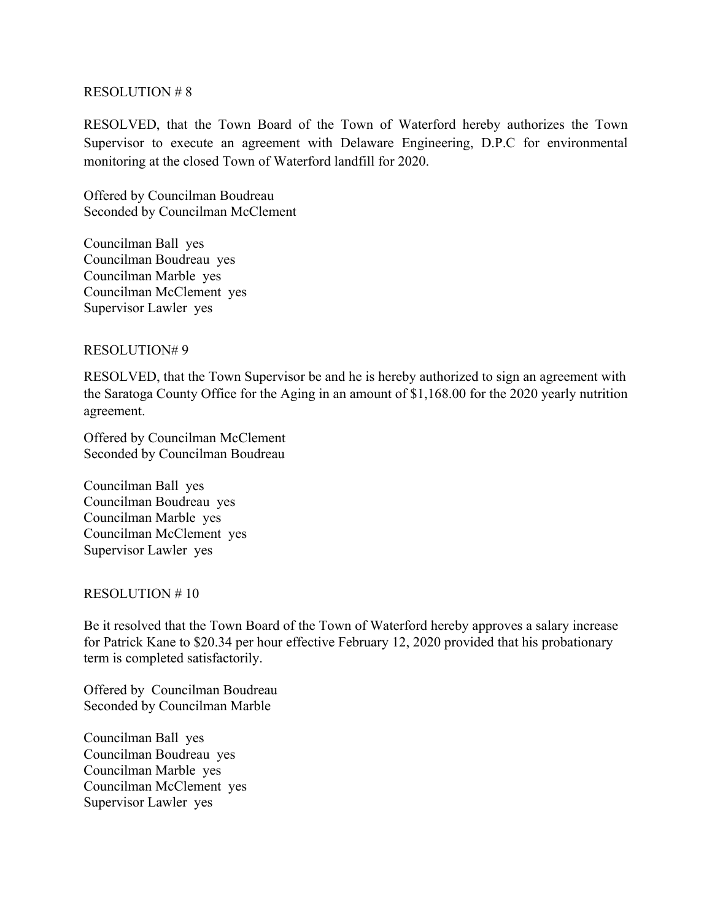#### RESOLUTION # 8

RESOLVED, that the Town Board of the Town of Waterford hereby authorizes the Town Supervisor to execute an agreement with Delaware Engineering, D.P.C for environmental monitoring at the closed Town of Waterford landfill for 2020.

Offered by Councilman Boudreau Seconded by Councilman McClement

Councilman Ball yes Councilman Boudreau yes Councilman Marble yes Councilman McClement yes Supervisor Lawler yes

RESOLUTION# 9

RESOLVED, that the Town Supervisor be and he is hereby authorized to sign an agreement with the Saratoga County Office for the Aging in an amount of \$1,168.00 for the 2020 yearly nutrition agreement.

Offered by Councilman McClement Seconded by Councilman Boudreau

Councilman Ball yes Councilman Boudreau yes Councilman Marble yes Councilman McClement yes Supervisor Lawler yes

#### RESOLUTION # 10

Be it resolved that the Town Board of the Town of Waterford hereby approves a salary increase for Patrick Kane to \$20.34 per hour effective February 12, 2020 provided that his probationary term is completed satisfactorily.

Offered by Councilman Boudreau Seconded by Councilman Marble

Councilman Ball yes Councilman Boudreau yes Councilman Marble yes Councilman McClement yes Supervisor Lawler yes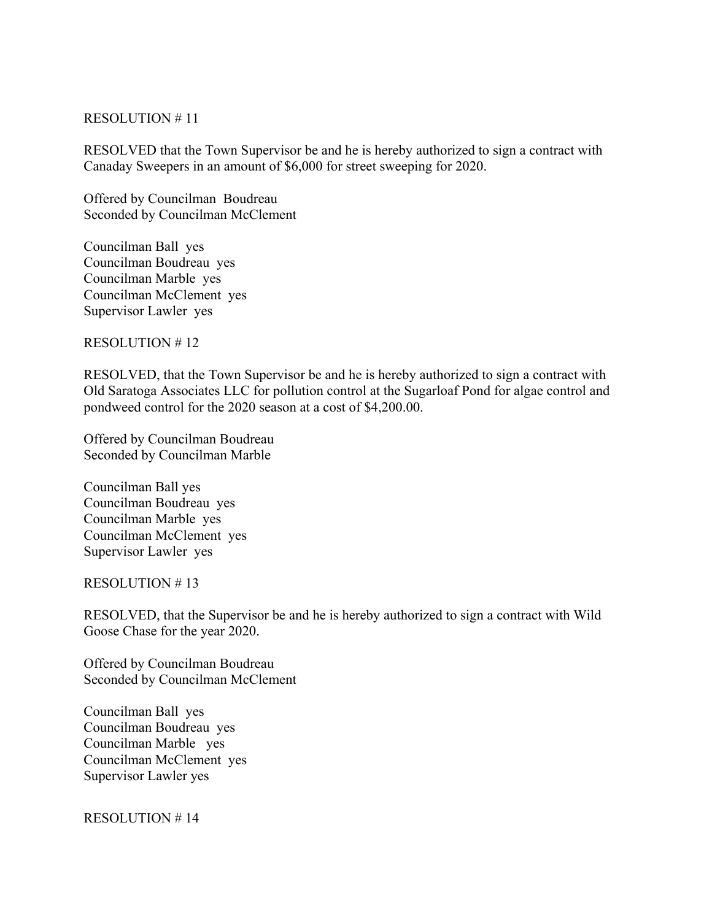### RESOLUTION # 11

RESOLVED that the Town Supervisor be and he is hereby authorized to sign a contract with Canaday Sweepers in an amount of \$6,000 for street sweeping for 2020.

Offered by Councilman Boudreau Seconded by Councilman McClement

Councilman Ball yes Councilman Boudreau yes Councilman Marble yes Councilman McClement yes Supervisor Lawler yes

RESOLUTION # 12

RESOLVED, that the Town Supervisor be and he is hereby authorized to sign a contract with Old Saratoga Associates LLC for pollution control at the Sugarloaf Pond for algae control and pondweed control for the 2020 season at a cost of \$4,200.00.

Offered by Councilman Boudreau Seconded by Councilman Marble

Councilman Ball yes Councilman Boudreau yes Councilman Marble yes Councilman McClement yes Supervisor Lawler yes

#### RESOLUTION # 13

RESOLVED, that the Supervisor be and he is hereby authorized to sign a contract with Wild Goose Chase for the year 2020.

Offered by Councilman Boudreau Seconded by Councilman McClement

Councilman Ball yes Councilman Boudreau yes Councilman Marble yes Councilman McClement yes Supervisor Lawler yes

RESOLUTION # 14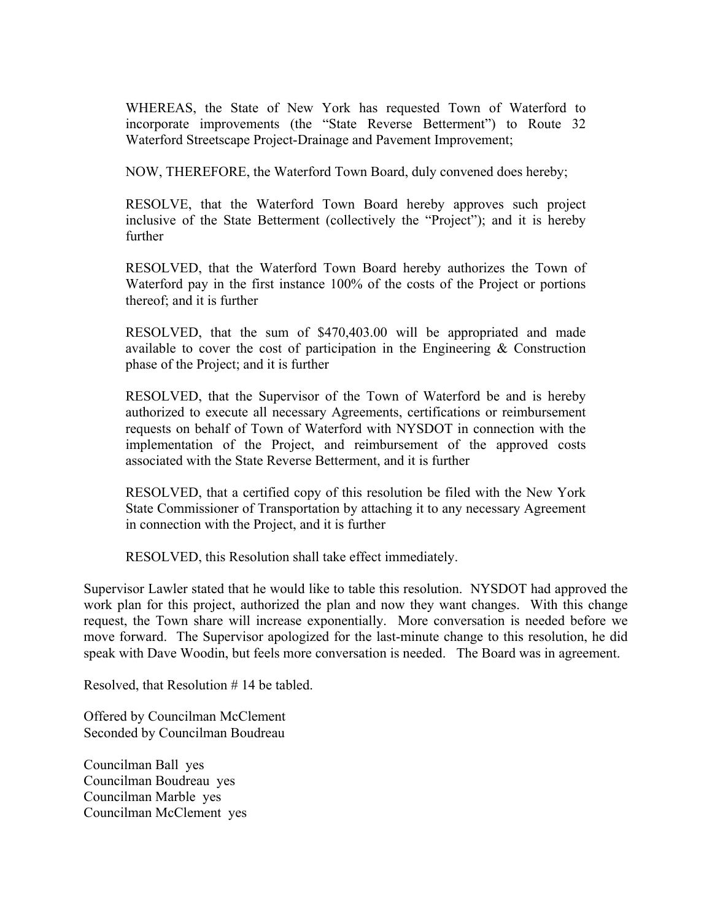WHEREAS, the State of New York has requested Town of Waterford to incorporate improvements (the "State Reverse Betterment") to Route 32 Waterford Streetscape Project-Drainage and Pavement Improvement;

NOW, THEREFORE, the Waterford Town Board, duly convened does hereby;

RESOLVE, that the Waterford Town Board hereby approves such project inclusive of the State Betterment (collectively the "Project"); and it is hereby further

RESOLVED, that the Waterford Town Board hereby authorizes the Town of Waterford pay in the first instance 100% of the costs of the Project or portions thereof; and it is further

RESOLVED, that the sum of \$470,403.00 will be appropriated and made available to cover the cost of participation in the Engineering & Construction phase of the Project; and it is further

RESOLVED, that the Supervisor of the Town of Waterford be and is hereby authorized to execute all necessary Agreements, certifications or reimbursement requests on behalf of Town of Waterford with NYSDOT in connection with the implementation of the Project, and reimbursement of the approved costs associated with the State Reverse Betterment, and it is further

RESOLVED, that a certified copy of this resolution be filed with the New York State Commissioner of Transportation by attaching it to any necessary Agreement in connection with the Project, and it is further

RESOLVED, this Resolution shall take effect immediately.

Supervisor Lawler stated that he would like to table this resolution. NYSDOT had approved the work plan for this project, authorized the plan and now they want changes. With this change request, the Town share will increase exponentially. More conversation is needed before we move forward. The Supervisor apologized for the last-minute change to this resolution, he did speak with Dave Woodin, but feels more conversation is needed. The Board was in agreement.

Resolved, that Resolution # 14 be tabled.

Offered by Councilman McClement Seconded by Councilman Boudreau

Councilman Ball yes Councilman Boudreau yes Councilman Marble yes Councilman McClement yes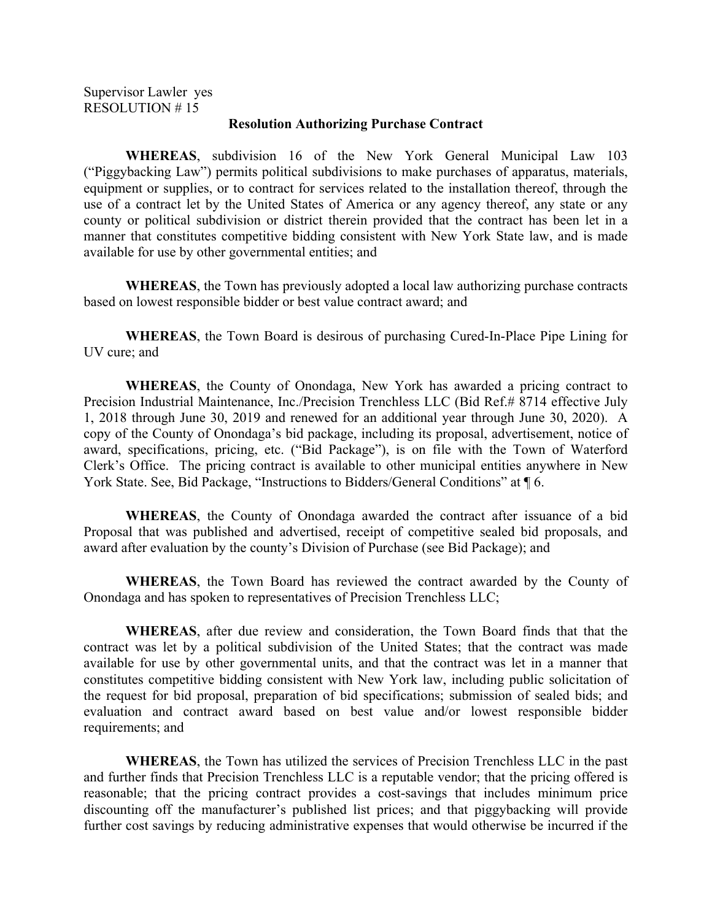Supervisor Lawler yes RESOLUTION # 15

#### **Resolution Authorizing Purchase Contract**

**WHEREAS**, subdivision 16 of the New York General Municipal Law 103 ("Piggybacking Law") permits political subdivisions to make purchases of apparatus, materials, equipment or supplies, or to contract for services related to the installation thereof, through the use of a contract let by the United States of America or any agency thereof, any state or any county or political subdivision or district therein provided that the contract has been let in a manner that constitutes competitive bidding consistent with New York State law, and is made available for use by other governmental entities; and

**WHEREAS**, the Town has previously adopted a local law authorizing purchase contracts based on lowest responsible bidder or best value contract award; and

 **WHEREAS**, the Town Board is desirous of purchasing Cured-In-Place Pipe Lining for UV cure; and

 **WHEREAS**, the County of Onondaga, New York has awarded a pricing contract to Precision Industrial Maintenance, Inc./Precision Trenchless LLC (Bid Ref.# 8714 effective July 1, 2018 through June 30, 2019 and renewed for an additional year through June 30, 2020). A copy of the County of Onondaga's bid package, including its proposal, advertisement, notice of award, specifications, pricing, etc. ("Bid Package"), is on file with the Town of Waterford Clerk's Office. The pricing contract is available to other municipal entities anywhere in New York State. See, Bid Package, "Instructions to Bidders/General Conditions" at  $\P$ 6.

**WHEREAS**, the County of Onondaga awarded the contract after issuance of a bid Proposal that was published and advertised, receipt of competitive sealed bid proposals, and award after evaluation by the county's Division of Purchase (see Bid Package); and

**WHEREAS**, the Town Board has reviewed the contract awarded by the County of Onondaga and has spoken to representatives of Precision Trenchless LLC;

**WHEREAS**, after due review and consideration, the Town Board finds that that the contract was let by a political subdivision of the United States; that the contract was made available for use by other governmental units, and that the contract was let in a manner that constitutes competitive bidding consistent with New York law, including public solicitation of the request for bid proposal, preparation of bid specifications; submission of sealed bids; and evaluation and contract award based on best value and/or lowest responsible bidder requirements; and

**WHEREAS**, the Town has utilized the services of Precision Trenchless LLC in the past and further finds that Precision Trenchless LLC is a reputable vendor; that the pricing offered is reasonable; that the pricing contract provides a cost-savings that includes minimum price discounting off the manufacturer's published list prices; and that piggybacking will provide further cost savings by reducing administrative expenses that would otherwise be incurred if the